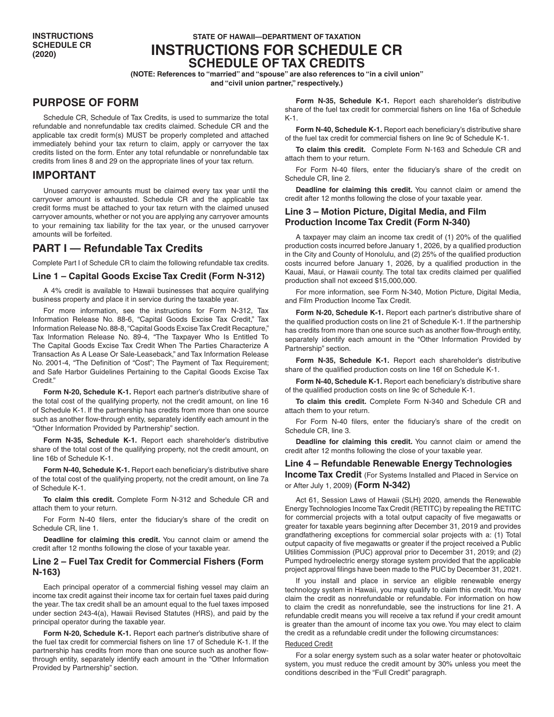# **STATE OF HAWAII—DEPARTMENT OF TAXATION INSTRUCTIONS FOR SCHEDULE CR SCHEDULE OF TAX CREDITS**

**(NOTE: References to "married" and "spouse" are also references to "in a civil union"**

**and "civil union partner," respectively.)**

# **PURPOSE OF FORM**

Schedule CR, Schedule of Tax Credits, is used to summarize the total refundable and nonrefundable tax credits claimed. Schedule CR and the applicable tax credit form(s) MUST be properly completed and attached immediately behind your tax return to claim, apply or carryover the tax credits listed on the form. Enter any total refundable or nonrefundable tax credits from lines 8 and 29 on the appropriate lines of your tax return.

# **IMPORTANT**

Unused carryover amounts must be claimed every tax year until the carryover amount is exhausted. Schedule CR and the applicable tax credit forms must be attached to your tax return with the claimed unused carryover amounts, whether or not you are applying any carryover amounts to your remaining tax liability for the tax year, or the unused carryover amounts will be forfeited.

# **PART I — Refundable Tax Credits**

Complete Part I of Schedule CR to claim the following refundable tax credits.

## **Line 1 – Capital Goods Excise Tax Credit (Form N-312)**

A 4% credit is available to Hawaii businesses that acquire qualifying business property and place it in service during the taxable year.

For more information, see the instructions for Form N-312, Tax Information Release No. 88-6, "Capital Goods Excise Tax Credit," Tax Information Release No. 88-8, "Capital Goods Excise Tax Credit Recapture," Tax Information Release No. 89-4, "The Taxpayer Who Is Entitled To The Capital Goods Excise Tax Credit When The Parties Characterize A Transaction As A Lease Or Sale-Leaseback," and Tax Information Release No. 2001-4, "The Definition of "Cost"; The Payment of Tax Requirement; and Safe Harbor Guidelines Pertaining to the Capital Goods Excise Tax Credit."

**Form N-20, Schedule K-1.** Report each partner's distributive share of the total cost of the qualifying property, not the credit amount, on line 16 of Schedule K-1. If the partnership has credits from more than one source such as another flow-through entity, separately identify each amount in the "Other Information Provided by Partnership" section.

**Form N-35, Schedule K-1.** Report each shareholder's distributive share of the total cost of the qualifying property, not the credit amount, on line 16b of Schedule K-1.

**Form N-40, Schedule K-1.** Report each beneficiary's distributive share of the total cost of the qualifying property, not the credit amount, on line 7a of Schedule K-1.

**To claim this credit.** Complete Form N-312 and Schedule CR and attach them to your return.

For Form N-40 filers, enter the fiduciary's share of the credit on Schedule CR, line 1.

**Deadline for claiming this credit.** You cannot claim or amend the credit after 12 months following the close of your taxable year.

## **Line 2 – Fuel Tax Credit for Commercial Fishers (Form N-163)**

Each principal operator of a commercial fishing vessel may claim an income tax credit against their income tax for certain fuel taxes paid during the year. The tax credit shall be an amount equal to the fuel taxes imposed under section 243-4(a), Hawaii Revised Statutes (HRS), and paid by the principal operator during the taxable year.

**Form N-20, Schedule K-1.** Report each partner's distributive share of the fuel tax credit for commercial fishers on line 17 of Schedule K-1. If the partnership has credits from more than one source such as another flowthrough entity, separately identify each amount in the "Other Information Provided by Partnership" section.

**Form N-35, Schedule K-1.** Report each shareholder's distributive share of the fuel tax credit for commercial fishers on line 16a of Schedule K-1.

**Form N-40, Schedule K-1.** Report each beneficiary's distributive share of the fuel tax credit for commercial fishers on line 9c of Schedule K-1.

**To claim this credit.** Complete Form N-163 and Schedule CR and attach them to your return.

For Form N-40 filers, enter the fiduciary's share of the credit on Schedule CR, line 2.

**Deadline for claiming this credit.** You cannot claim or amend the credit after 12 months following the close of your taxable year.

## **Line 3 – Motion Picture, Digital Media, and Film Production Income Tax Credit (Form N-340)**

A taxpayer may claim an income tax credit of (1) 20% of the qualified production costs incurred before January 1, 2026, by a qualified production in the City and County of Honolulu, and (2) 25% of the qualified production costs incurred before January 1, 2026, by a qualified production in the Kauai, Maui, or Hawaii county. The total tax credits claimed per qualified production shall not exceed \$15,000,000.

For more information, see Form N-340, Motion Picture, Digital Media, and Film Production Income Tax Credit.

**Form N-20, Schedule K-1.** Report each partner's distributive share of the qualified production costs on line 21 of Schedule K-1. If the partnership has credits from more than one source such as another flow-through entity, separately identify each amount in the "Other Information Provided by Partnership" section.

**Form N-35, Schedule K-1.** Report each shareholder's distributive share of the qualified production costs on line 16f on Schedule K-1.

**Form N-40, Schedule K-1.** Report each beneficiary's distributive share of the qualified production costs on line 9c of Schedule K-1.

**To claim this credit.** Complete Form N-340 and Schedule CR and attach them to your return.

For Form N-40 filers, enter the fiduciary's share of the credit on Schedule CR, line 3.

**Deadline for claiming this credit.** You cannot claim or amend the credit after 12 months following the close of your taxable year.

## **Line 4 – Refundable Renewable Energy Technologies**

**Income Tax Credit** (For Systems Installed and Placed in Service on or After July 1, 2009) **(Form N-342)**

Act 61, Session Laws of Hawaii (SLH) 2020, amends the Renewable Energy Technologies Income Tax Credit (RETITC) by repealing the RETITC for commercial projects with a total output capacity of five megawatts or greater for taxable years beginning after December 31, 2019 and provides grandfathering exceptions for commercial solar projects with a: (1) Total output capacity of five megawatts or greater if the project received a Public Utilities Commission (PUC) approval prior to December 31, 2019; and (2) Pumped hydroelectric energy storage system provided that the applicable project approval filings have been made to the PUC by December 31, 2021.

If you install and place in service an eligible renewable energy technology system in Hawaii, you may qualify to claim this credit. You may claim the credit as nonrefundable or refundable. For information on how to claim the credit as nonrefundable, see the instructions for line 21. A refundable credit means you will receive a tax refund if your credit amount is greater than the amount of income tax you owe. You may elect to claim the credit as a refundable credit under the following circumstances:

### Reduced Credit

For a solar energy system such as a solar water heater or photovoltaic system, you must reduce the credit amount by 30% unless you meet the conditions described in the "Full Credit" paragraph.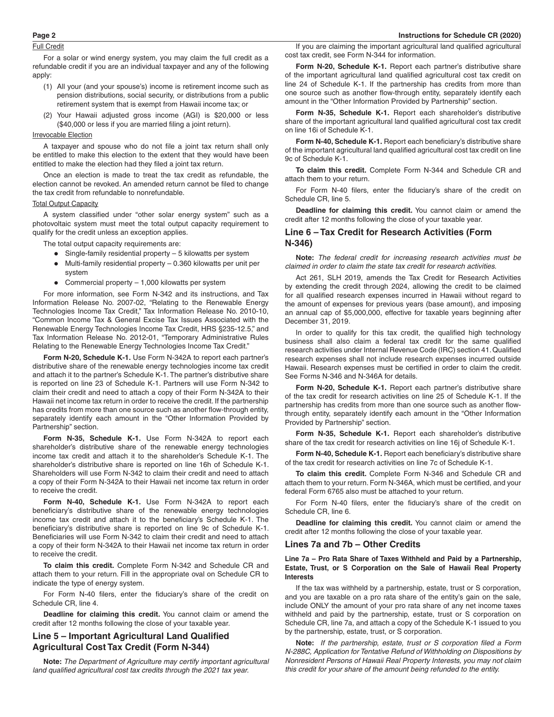## Full Credit

For a solar or wind energy system, you may claim the full credit as a refundable credit if you are an individual taxpayer and any of the following apply:

- (1) All your (and your spouse's) income is retirement income such as pension distributions, social security, or distributions from a public retirement system that is exempt from Hawaii income tax; or
- (2) Your Hawaii adjusted gross income (AGI) is \$20,000 or less (\$40,000 or less if you are married filing a joint return).

#### **Irrevocable Election**

A taxpayer and spouse who do not file a joint tax return shall only be entitled to make this election to the extent that they would have been entitled to make the election had they filed a joint tax return.

Once an election is made to treat the tax credit as refundable, the election cannot be revoked. An amended return cannot be filed to change the tax credit from refundable to nonrefundable.

#### Total Output Capacity

A system classified under "other solar energy system" such as a photovoltaic system must meet the total output capacity requirement to qualify for the credit unless an exception applies.

The total output capacity requirements are:

- Single-family residential property 5 kilowatts per system
- Multi-family residential property 0.360 kilowatts per unit per system
- Commercial property 1,000 kilowatts per system

For more information, see Form N-342 and its instructions, and Tax Information Release No. 2007-02, "Relating to the Renewable Energy Technologies Income Tax Credit," Tax Information Release No. 2010-10, "Common Income Tax & General Excise Tax Issues Associated with the Renewable Energy Technologies Income Tax Credit, HRS §235-12.5," and Tax Information Release No. 2012-01, "Temporary Administrative Rules Relating to the Renewable Energy Technologies Income Tax Credit."

**Form N-20, Schedule K-1.** Use Form N-342A to report each partner's distributive share of the renewable energy technologies income tax credit and attach it to the partner's Schedule K-1. The partner's distributive share is reported on line 23 of Schedule K-1. Partners will use Form N-342 to claim their credit and need to attach a copy of their Form N-342A to their Hawaii net income tax return in order to receive the credit. If the partnership has credits from more than one source such as another flow-through entity, separately identify each amount in the "Other Information Provided by Partnership" section.

**Form N-35, Schedule K-1.** Use Form N-342A to report each shareholder's distributive share of the renewable energy technologies income tax credit and attach it to the shareholder's Schedule K-1. The shareholder's distributive share is reported on line 16h of Schedule K-1. Shareholders will use Form N-342 to claim their credit and need to attach a copy of their Form N-342A to their Hawaii net income tax return in order to receive the credit.

**Form N-40, Schedule K-1.** Use Form N-342A to report each beneficiary's distributive share of the renewable energy technologies income tax credit and attach it to the beneficiary's Schedule K-1. The beneficiary's distributive share is reported on line 9c of Schedule K-1. Beneficiaries will use Form N-342 to claim their credit and need to attach a copy of their form N-342A to their Hawaii net income tax return in order to receive the credit.

**To claim this credit.** Complete Form N-342 and Schedule CR and attach them to your return. Fill in the appropriate oval on Schedule CR to indicate the type of energy system.

For Form N-40 filers, enter the fiduciary's share of the credit on Schedule CR, line 4.

**Deadline for claiming this credit.** You cannot claim or amend the credit after 12 months following the close of your taxable year.

## **Line 5 – Important Agricultural Land Qualified Agricultural Cost Tax Credit (Form N-344)**

**Note:** *The Department of Agriculture may certify important agricultural land qualified agricultural cost tax credits through the 2021 tax year.*

If you are claiming the important agricultural land qualified agricultural cost tax credit, see Form N-344 for information.

**Form N-20, Schedule K-1.** Report each partner's distributive share of the important agricultural land qualified agricultural cost tax credit on line 24 of Schedule K-1. If the partnership has credits from more than one source such as another flow-through entity, separately identify each amount in the "Other Information Provided by Partnership" section.

**Form N-35, Schedule K-1.** Report each shareholder's distributive share of the important agricultural land qualified agricultural cost tax credit on line 16i of Schedule K-1.

**Form N-40, Schedule K-1.** Report each beneficiary's distributive share of the important agricultural land qualified agricultural cost tax credit on line 9c of Schedule K-1.

**To claim this credit.** Complete Form N-344 and Schedule CR and attach them to your return.

For Form N-40 filers, enter the fiduciary's share of the credit on Schedule CR, line 5.

**Deadline for claiming this credit.** You cannot claim or amend the credit after 12 months following the close of your taxable year.

### **Line 6 – Tax Credit for Research Activities (Form N-346)**

**Note:** *The federal credit for increasing research activities must be claimed in order to claim the state tax credit for research activities.*

Act 261, SLH 2019, amends the Tax Credit for Research Activities by extending the credit through 2024, allowing the credit to be claimed for all qualified research expenses incurred in Hawaii without regard to the amount of expenses for previous years (base amount), and imposing an annual cap of \$5,000,000, effective for taxable years beginning after December 31, 2019.

In order to qualify for this tax credit, the qualified high technology business shall also claim a federal tax credit for the same qualified research activities under Internal Revenue Code (IRC) section 41. Qualified research expenses shall not include research expenses incurred outside Hawaii. Research expenses must be certified in order to claim the credit. See Forms N-346 and N-346A for details.

**Form N-20, Schedule K-1.** Report each partner's distributive share of the tax credit for research activities on line 25 of Schedule K-1. If the partnership has credits from more than one source such as another flowthrough entity, separately identify each amount in the "Other Information Provided by Partnership" section.

**Form N-35, Schedule K-1.** Report each shareholder's distributive share of the tax credit for research activities on line 16j of Schedule K-1.

**Form N-40, Schedule K-1.** Report each beneficiary's distributive share of the tax credit for research activities on line 7c of Schedule K-1.

**To claim this credit.** Complete Form N-346 and Schedule CR and attach them to your return. Form N-346A, which must be certified, and your federal Form 6765 also must be attached to your return.

For Form N-40 filers, enter the fiduciary's share of the credit on Schedule CR, line 6.

**Deadline for claiming this credit.** You cannot claim or amend the credit after 12 months following the close of your taxable year.

### **Lines 7a and 7b – Other Credits**

### **Line 7a – Pro Rata Share of Taxes Withheld and Paid by a Partnership, Estate, Trust, or S Corporation on the Sale of Hawaii Real Property Interests**

If the tax was withheld by a partnership, estate, trust or S corporation, and you are taxable on a pro rata share of the entity's gain on the sale, include ONLY the amount of your pro rata share of any net income taxes withheld and paid by the partnership, estate, trust or S corporation on Schedule CR, line 7a, and attach a copy of the Schedule K-1 issued to you by the partnership, estate, trust, or S corporation.

**Note:** *If the partnership, estate, trust or S corporation filed a Form N-288C, Application for Tentative Refund of Withholding on Dispositions by Nonresident Persons of Hawaii Real Property Interests, you may not claim this credit for your share of the amount being refunded to the entity.*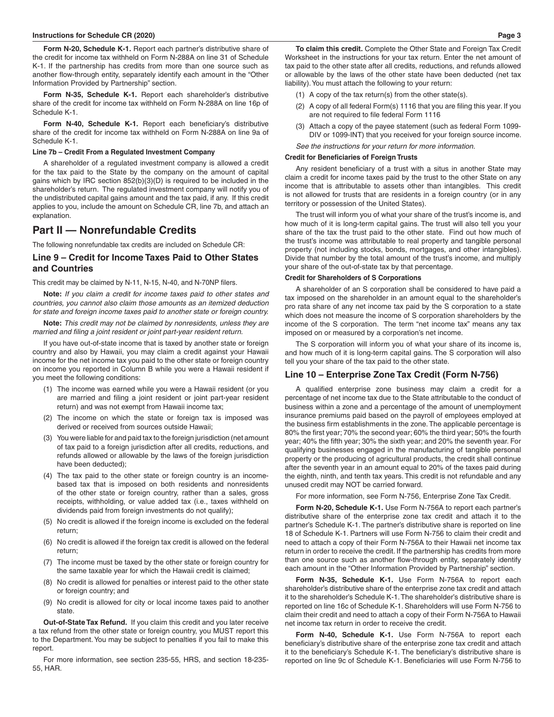#### **Instructions for Schedule CR (2020) Page 3**

**Form N-20, Schedule K-1.** Report each partner's distributive share of the credit for income tax withheld on Form N-288A on line 31 of Schedule K-1. If the partnership has credits from more than one source such as another flow-through entity, separately identify each amount in the "Other Information Provided by Partnership" section.

**Form N-35, Schedule K-1.** Report each shareholder's distributive share of the credit for income tax withheld on Form N-288A on line 16p of Schedule K-1.

**Form N-40, Schedule K-1.** Report each beneficiary's distributive share of the credit for income tax withheld on Form N-288A on line 9a of Schedule K-1.

#### **Line 7b – Credit From a Regulated Investment Company**

A shareholder of a regulated investment company is allowed a credit for the tax paid to the State by the company on the amount of capital gains which by IRC section 852(b)(3)(D) is required to be included in the shareholder's return. The regulated investment company will notify you of the undistributed capital gains amount and the tax paid, if any. If this credit applies to you, include the amount on Schedule CR, line 7b, and attach an explanation.

## **Part II — Nonrefundable Credits**

The following nonrefundable tax credits are included on Schedule CR:

### **Line 9 – Credit for Income Taxes Paid to Other States and Countries**

This credit may be claimed by N-11, N-15, N-40, and N-70NP filers.

**Note:** *If you claim a credit for income taxes paid to other states and countries, you cannot also claim those amounts as an itemized deduction for state and foreign income taxes paid to another state or foreign country.*

**Note:** *This credit may not be claimed by nonresidents, unless they are married and filing a joint resident or joint part-year resident return.*

If you have out-of-state income that is taxed by another state or foreign country and also by Hawaii, you may claim a credit against your Hawaii income for the net income tax you paid to the other state or foreign country on income you reported in Column B while you were a Hawaii resident if you meet the following conditions:

- (1) The income was earned while you were a Hawaii resident (or you are married and filing a joint resident or joint part-year resident return) and was not exempt from Hawaii income tax;
- (2) The income on which the state or foreign tax is imposed was derived or received from sources outside Hawaii;
- (3) You were liable for and paid tax to the foreign jurisdiction (net amount of tax paid to a foreign jurisdiction after all credits, reductions, and refunds allowed or allowable by the laws of the foreign jurisdiction have been deducted);
- (4) The tax paid to the other state or foreign country is an incomebased tax that is imposed on both residents and nonresidents of the other state or foreign country, rather than a sales, gross receipts, withholding, or value added tax (i.e., taxes withheld on dividends paid from foreign investments do not qualify);
- (5) No credit is allowed if the foreign income is excluded on the federal return;
- (6) No credit is allowed if the foreign tax credit is allowed on the federal return;
- (7) The income must be taxed by the other state or foreign country for the same taxable year for which the Hawaii credit is claimed;
- (8) No credit is allowed for penalties or interest paid to the other state or foreign country; and
- (9) No credit is allowed for city or local income taxes paid to another state.

**Out-of-State Tax Refund.** If you claim this credit and you later receive a tax refund from the other state or foreign country, you MUST report this to the Department. You may be subject to penalties if you fail to make this report.

For more information, see section 235-55, HRS, and section 18-235- 55, HAR.

**To claim this credit.** Complete the Other State and Foreign Tax Credit Worksheet in the instructions for your tax return. Enter the net amount of tax paid to the other state after all credits, reductions, and refunds allowed or allowable by the laws of the other state have been deducted (net tax liability). You must attach the following to your return:

- (1) A copy of the tax return(s) from the other state(s).
- (2) A copy of all federal Form(s) 1116 that you are filing this year. If you are not required to file federal Form 1116
- (3) Attach a copy of the payee statement (such as federal Form 1099- DIV or 1099-INT) that you received for your foreign source income.

*See the instructions for your return for more information.*

#### **Credit for Beneficiaries of Foreign Trusts**

Any resident beneficiary of a trust with a situs in another State may claim a credit for income taxes paid by the trust to the other State on any income that is attributable to assets other than intangibles. This credit is not allowed for trusts that are residents in a foreign country (or in any territory or possession of the United States).

The trust will inform you of what your share of the trust's income is, and how much of it is long-term capital gains. The trust will also tell you your share of the tax the trust paid to the other state. Find out how much of the trust's income was attributable to real property and tangible personal property (not including stocks, bonds, mortgages, and other intangibles). Divide that number by the total amount of the trust's income, and multiply your share of the out-of-state tax by that percentage.

### **Credit for Shareholders of S Corporations**

A shareholder of an S corporation shall be considered to have paid a tax imposed on the shareholder in an amount equal to the shareholder's pro rata share of any net income tax paid by the S corporation to a state which does not measure the income of S corporation shareholders by the income of the S corporation. The term "net income tax" means any tax imposed on or measured by a corporation's net income.

The S corporation will inform you of what your share of its income is, and how much of it is long-term capital gains. The S corporation will also tell you your share of the tax paid to the other state.

#### **Line 10 – Enterprise Zone Tax Credit (Form N-756)**

A qualified enterprise zone business may claim a credit for a percentage of net income tax due to the State attributable to the conduct of business within a zone and a percentage of the amount of unemployment insurance premiums paid based on the payroll of employees employed at the business firm establishments in the zone. The applicable percentage is 80% the first year; 70% the second year; 60% the third year; 50% the fourth year; 40% the fifth year; 30% the sixth year; and 20% the seventh year. For qualifying businesses engaged in the manufacturing of tangible personal property or the producing of agricultural products, the credit shall continue after the seventh year in an amount equal to 20% of the taxes paid during the eighth, ninth, and tenth tax years. This credit is not refundable and any unused credit may NOT be carried forward.

For more information, see Form N-756, Enterprise Zone Tax Credit.

**Form N-20, Schedule K-1.** Use Form N-756A to report each partner's distributive share of the enterprise zone tax credit and attach it to the partner's Schedule K-1. The partner's distributive share is reported on line 18 of Schedule K-1. Partners will use Form N-756 to claim their credit and need to attach a copy of their Form N-756A to their Hawaii net income tax return in order to receive the credit. If the partnership has credits from more than one source such as another flow-through entity, separately identify each amount in the "Other Information Provided by Partnership" section.

**Form N-35, Schedule K-1.** Use Form N-756A to report each shareholder's distributive share of the enterprise zone tax credit and attach it to the shareholder's Schedule K-1. The shareholder's distributive share is reported on line 16c of Schedule K-1. Shareholders will use Form N-756 to claim their credit and need to attach a copy of their Form N-756A to Hawaii net income tax return in order to receive the credit.

**Form N-40, Schedule K-1.** Use Form N-756A to report each beneficiary's distributive share of the enterprise zone tax credit and attach it to the beneficiary's Schedule K-1. The beneficiary's distributive share is reported on line 9c of Schedule K-1. Beneficiaries will use Form N-756 to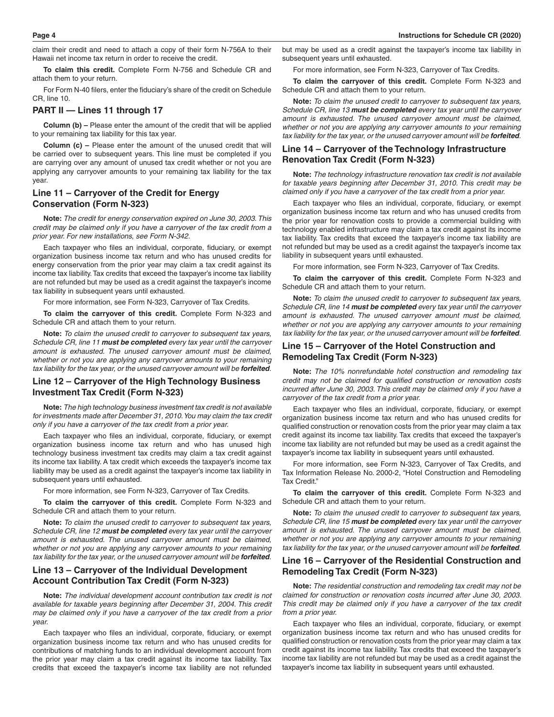claim their credit and need to attach a copy of their form N-756A to their Hawaii net income tax return in order to receive the credit.

**To claim this credit.** Complete Form N-756 and Schedule CR and attach them to your return.

For Form N-40 filers, enter the fiduciary's share of the credit on Schedule CR, line 10.

### **PART II — Lines 11 through 17**

**Column (b) –** Please enter the amount of the credit that will be applied to your remaining tax liability for this tax year.

**Column (c) –** Please enter the amount of the unused credit that will be carried over to subsequent years. This line must be completed if you are carrying over any amount of unused tax credit whether or not you are applying any carryover amounts to your remaining tax liability for the tax year.

## **Line 11 – Carryover of the Credit for Energy Conservation (Form N-323)**

**Note:** *The credit for energy conservation expired on June 30, 2003. This credit may be claimed only if you have a carryover of the tax credit from a prior year. For new installations, see Form N-342.*

Each taxpayer who files an individual, corporate, fiduciary, or exempt organization business income tax return and who has unused credits for energy conservation from the prior year may claim a tax credit against its income tax liability. Tax credits that exceed the taxpayer's income tax liability are not refunded but may be used as a credit against the taxpayer's income tax liability in subsequent years until exhausted.

For more information, see Form N-323, Carryover of Tax Credits.

**To claim the carryover of this credit.** Complete Form N-323 and Schedule CR and attach them to your return.

**Note:** *To claim the unused credit to carryover to subsequent tax years, Schedule CR, line 11 must be completed every tax year until the carryover amount is exhausted. The unused carryover amount must be claimed, whether or not you are applying any carryover amounts to your remaining tax liability for the tax year, or the unused carryover amount will be forfeited.*

## **Line 12 – Carryover of the High Technology Business Investment Tax Credit (Form N-323)**

**Note:** *The high technology business investment tax credit is not available for investments made after December 31, 2010. You may claim the tax credit only if you have a carryover of the tax credit from a prior year.*

Each taxpayer who files an individual, corporate, fiduciary, or exempt organization business income tax return and who has unused high technology business investment tax credits may claim a tax credit against its income tax liability. A tax credit which exceeds the taxpayer's income tax liability may be used as a credit against the taxpayer's income tax liability in subsequent years until exhausted.

For more information, see Form N-323, Carryover of Tax Credits.

**To claim the carryover of this credit.** Complete Form N-323 and Schedule CR and attach them to your return.

**Note:** *To claim the unused credit to carryover to subsequent tax years, Schedule CR, line 12 must be completed every tax year until the carryover amount is exhausted. The unused carryover amount must be claimed, whether or not you are applying any carryover amounts to your remaining tax liability for the tax year, or the unused carryover amount will be forfeited.*

## **Line 13 – Carryover of the Individual Development Account Contribution Tax Credit (Form N-323)**

**Note:** *The individual development account contribution tax credit is not available for taxable years beginning after December 31, 2004. This credit may be claimed only if you have a carryover of the tax credit from a prior year.*

Each taxpayer who files an individual, corporate, fiduciary, or exempt organization business income tax return and who has unused credits for contributions of matching funds to an individual development account from the prior year may claim a tax credit against its income tax liability. Tax credits that exceed the taxpayer's income tax liability are not refunded

but may be used as a credit against the taxpayer's income tax liability in subsequent years until exhausted.

For more information, see Form N-323, Carryover of Tax Credits.

**To claim the carryover of this credit.** Complete Form N-323 and Schedule CR and attach them to your return.

**Note:** *To claim the unused credit to carryover to subsequent tax years, Schedule CR, line 13 must be completed every tax year until the carryover amount is exhausted. The unused carryover amount must be claimed, whether or not you are applying any carryover amounts to your remaining tax liability for the tax year, or the unused carryover amount will be forfeited.*

### **Line 14 – Carryover of the Technology Infrastructure Renovation Tax Credit (Form N-323)**

**Note:** *The technology infrastructure renovation tax credit is not available for taxable years beginning after December 31, 2010. This credit may be claimed only if you have a carryover of the tax credit from a prior year.*

Each taxpayer who files an individual, corporate, fiduciary, or exempt organization business income tax return and who has unused credits from the prior year for renovation costs to provide a commercial building with technology enabled infrastructure may claim a tax credit against its income tax liability. Tax credits that exceed the taxpayer's income tax liability are not refunded but may be used as a credit against the taxpayer's income tax liability in subsequent years until exhausted.

For more information, see Form N-323, Carryover of Tax Credits.

**To claim the carryover of this credit.** Complete Form N-323 and Schedule CR and attach them to your return.

**Note:** *To claim the unused credit to carryover to subsequent tax years, Schedule CR, line 14 must be completed every tax year until the carryover amount is exhausted. The unused carryover amount must be claimed, whether or not you are applying any carryover amounts to your remaining tax liability for the tax year, or the unused carryover amount will be forfeited.*

### **Line 15 – Carryover of the Hotel Construction and Remodeling Tax Credit (Form N-323)**

**Note:** *The 10% nonrefundable hotel construction and remodeling tax credit may not be claimed for qualified construction or renovation costs incurred after June 30, 2003. This credit may be claimed only if you have a carryover of the tax credit from a prior year.*

Each taxpayer who files an individual, corporate, fiduciary, or exempt organization business income tax return and who has unused credits for qualified construction or renovation costs from the prior year may claim a tax credit against its income tax liability. Tax credits that exceed the taxpayer's income tax liability are not refunded but may be used as a credit against the taxpayer's income tax liability in subsequent years until exhausted.

For more information, see Form N-323, Carryover of Tax Credits, and Tax Information Release No. 2000-2, "Hotel Construction and Remodeling Tax Credit"

**To claim the carryover of this credit.** Complete Form N-323 and Schedule CR and attach them to your return.

**Note:** *To claim the unused credit to carryover to subsequent tax years, Schedule CR, line 15 must be completed every tax year until the carryover amount is exhausted. The unused carryover amount must be claimed, whether or not you are applying any carryover amounts to your remaining tax liability for the tax year, or the unused carryover amount will be forfeited.*

### **Line 16 – Carryover of the Residential Construction and Remodeling Tax Credit (Form N-323)**

**Note:** *The residential construction and remodeling tax credit may not be claimed for construction or renovation costs incurred after June 30, 2003. This credit may be claimed only if you have a carryover of the tax credit from a prior year.*

Each taxpayer who files an individual, corporate, fiduciary, or exempt organization business income tax return and who has unused credits for qualified construction or renovation costs from the prior year may claim a tax credit against its income tax liability. Tax credits that exceed the taxpayer's income tax liability are not refunded but may be used as a credit against the taxpayer's income tax liability in subsequent years until exhausted.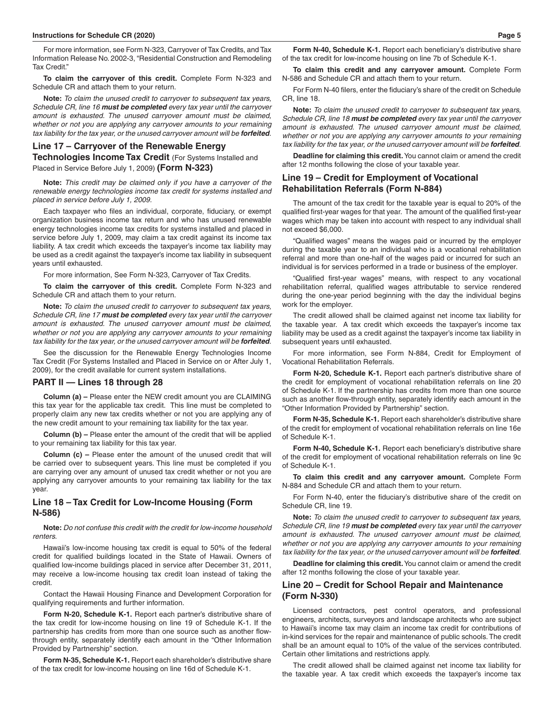For more information, see Form N-323, Carryover of Tax Credits, and Tax Information Release No. 2002-3, "Residential Construction and Remodeling Tax Credit."

**To claim the carryover of this credit.** Complete Form N-323 and Schedule CR and attach them to your return.

**Note:** *To claim the unused credit to carryover to subsequent tax years, Schedule CR, line 16 must be completed every tax year until the carryover amount is exhausted. The unused carryover amount must be claimed, whether or not you are applying any carryover amounts to your remaining tax liability for the tax year, or the unused carryover amount will be forfeited.*

### **Line 17 – Carryover of the Renewable Energy Technologies Income Tax Credit** (For Systems Installed and

Placed in Service Before July 1, 2009) **(Form N-323)**

**Note:** *This credit may be claimed only if you have a carryover of the renewable energy technologies income tax credit for systems installed and placed in service before July 1, 2009.*

Each taxpayer who files an individual, corporate, fiduciary, or exempt organization business income tax return and who has unused renewable energy technologies income tax credits for systems installed and placed in service before July 1, 2009, may claim a tax credit against its income tax liability. A tax credit which exceeds the taxpayer's income tax liability may be used as a credit against the taxpayer's income tax liability in subsequent years until exhausted.

For more information, See Form N-323, Carryover of Tax Credits.

**To claim the carryover of this credit.** Complete Form N-323 and Schedule CR and attach them to your return.

**Note:** *To claim the unused credit to carryover to subsequent tax years, Schedule CR, line 17 must be completed every tax year until the carryover amount is exhausted. The unused carryover amount must be claimed, whether or not you are applying any carryover amounts to your remaining tax liability for the tax year, or the unused carryover amount will be forfeited.*

See the discussion for the Renewable Energy Technologies Income Tax Credit (For Systems Installed and Placed in Service on or After July 1, 2009), for the credit available for current system installations.

### **PART II — Lines 18 through 28**

**Column (a) –** Please enter the NEW credit amount you are CLAIMING this tax year for the applicable tax credit. This line must be completed to properly claim any new tax credits whether or not you are applying any of the new credit amount to your remaining tax liability for the tax year.

**Column (b) –** Please enter the amount of the credit that will be applied to your remaining tax liability for this tax year.

**Column (c) –** Please enter the amount of the unused credit that will be carried over to subsequent years. This line must be completed if you are carrying over any amount of unused tax credit whether or not you are applying any carryover amounts to your remaining tax liability for the tax year.

## **Line 18 – Tax Credit for Low-Income Housing (Form N-586)**

**Note:** *Do not confuse this credit with the credit for low-income household renters.*

Hawaii's low-income housing tax credit is equal to 50% of the federal credit for qualified buildings located in the State of Hawaii. Owners of qualified low-income buildings placed in service after December 31, 2011, may receive a low-income housing tax credit loan instead of taking the credit.

Contact the Hawaii Housing Finance and Development Corporation for qualifying requirements and further information.

**Form N-20, Schedule K-1.** Report each partner's distributive share of the tax credit for low-income housing on line 19 of Schedule K-1. If the partnership has credits from more than one source such as another flowthrough entity, separately identify each amount in the "Other Information Provided by Partnership" section.

**Form N-35, Schedule K-1.** Report each shareholder's distributive share of the tax credit for low-income housing on line 16d of Schedule K-1.

**Form N-40, Schedule K-1.** Report each beneficiary's distributive share of the tax credit for low-income housing on line 7b of Schedule K-1.

**To claim this credit and any carryover amount.** Complete Form N-586 and Schedule CR and attach them to your return.

For Form N-40 filers, enter the fiduciary's share of the credit on Schedule CR, line 18.

**Note:** *To claim the unused credit to carryover to subsequent tax years, Schedule CR, line 18 must be completed every tax year until the carryover amount is exhausted. The unused carryover amount must be claimed, whether or not you are applying any carryover amounts to your remaining tax liability for the tax year, or the unused carryover amount will be forfeited.*

**Deadline for claiming this credit.** You cannot claim or amend the credit after 12 months following the close of your taxable year.

## **Line 19 – Credit for Employment of Vocational Rehabilitation Referrals (Form N-884)**

The amount of the tax credit for the taxable year is equal to 20% of the qualified first-year wages for that year. The amount of the qualified first-year wages which may be taken into account with respect to any individual shall not exceed \$6,000.

"Qualified wages" means the wages paid or incurred by the employer during the taxable year to an individual who is a vocational rehabilitation referral and more than one-half of the wages paid or incurred for such an individual is for services performed in a trade or business of the employer.

"Qualified first-year wages" means, with respect to any vocational rehabilitation referral, qualified wages attributable to service rendered during the one-year period beginning with the day the individual begins work for the employer.

The credit allowed shall be claimed against net income tax liability for the taxable year. A tax credit which exceeds the taxpayer's income tax liability may be used as a credit against the taxpayer's income tax liability in subsequent years until exhausted.

For more information, see Form N-884, Credit for Employment of Vocational Rehabilitation Referrals.

**Form N-20, Schedule K-1.** Report each partner's distributive share of the credit for employment of vocational rehabilitation referrals on line 20 of Schedule K-1. If the partnership has credits from more than one source such as another flow-through entity, separately identify each amount in the "Other Information Provided by Partnership" section.

**Form N-35, Schedule K-1.** Report each shareholder's distributive share of the credit for employment of vocational rehabilitation referrals on line 16e of Schedule K-1.

**Form N-40, Schedule K-1.** Report each beneficiary's distributive share of the credit for employment of vocational rehabilitation referrals on line 9c of Schedule K-1.

**To claim this credit and any carryover amount.** Complete Form N-884 and Schedule CR and attach them to your return.

For Form N-40, enter the fiduciary's distributive share of the credit on Schedule CR, line 19.

**Note:** *To claim the unused credit to carryover to subsequent tax years, Schedule CR, line 19 must be completed every tax year until the carryover amount is exhausted. The unused carryover amount must be claimed, whether or not you are applying any carryover amounts to your remaining tax liability for the tax year, or the unused carryover amount will be forfeited.*

**Deadline for claiming this credit.** You cannot claim or amend the credit after 12 months following the close of your taxable year.

## **Line 20 – Credit for School Repair and Maintenance (Form N-330)**

Licensed contractors, pest control operators, and professional engineers, architects, surveyors and landscape architects who are subject to Hawaii's income tax may claim an income tax credit for contributions of in-kind services for the repair and maintenance of public schools. The credit shall be an amount equal to 10% of the value of the services contributed. Certain other limitations and restrictions apply.

The credit allowed shall be claimed against net income tax liability for the taxable year. A tax credit which exceeds the taxpayer's income tax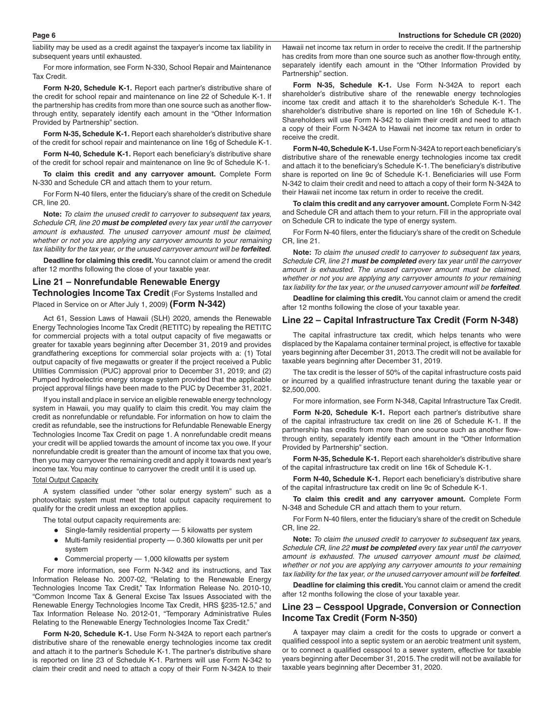liability may be used as a credit against the taxpayer's income tax liability in subsequent years until exhausted.

For more information, see Form N-330, School Repair and Maintenance Tax Credit.

**Form N-20, Schedule K-1.** Report each partner's distributive share of the credit for school repair and maintenance on line 22 of Schedule K-1. If the partnership has credits from more than one source such as another flowthrough entity, separately identify each amount in the "Other Information Provided by Partnership" section.

**Form N-35, Schedule K-1.** Report each shareholder's distributive share of the credit for school repair and maintenance on line 16g of Schedule K-1.

**Form N-40, Schedule K-1.** Report each beneficiary's distributive share of the credit for school repair and maintenance on line 9c of Schedule K-1.

**To claim this credit and any carryover amount.** Complete Form N-330 and Schedule CR and attach them to your return.

For Form N-40 filers, enter the fiduciary's share of the credit on Schedule CR, line 20.

**Note:** *To claim the unused credit to carryover to subsequent tax years, Schedule CR, line 20 must be completed every tax year until the carryover amount is exhausted. The unused carryover amount must be claimed, whether or not you are applying any carryover amounts to your remaining tax liability for the tax year, or the unused carryover amount will be forfeited.*

**Deadline for claiming this credit.** You cannot claim or amend the credit after 12 months following the close of your taxable year.

## **Line 21 – Nonrefundable Renewable Energy Technologies Income Tax Credit** (For Systems Installed and

Placed in Service on or After July 1, 2009) **(Form N-342)**

Act 61, Session Laws of Hawaii (SLH) 2020, amends the Renewable Energy Technologies Income Tax Credit (RETITC) by repealing the RETITC for commercial projects with a total output capacity of five megawatts or greater for taxable years beginning after December 31, 2019 and provides grandfathering exceptions for commercial solar projects with a: (1) Total output capacity of five megawatts or greater if the project received a Public Utilities Commission (PUC) approval prior to December 31, 2019; and (2) Pumped hydroelectric energy storage system provided that the applicable project approval filings have been made to the PUC by December 31, 2021.

If you install and place in service an eligible renewable energy technology system in Hawaii, you may qualify to claim this credit. You may claim the credit as nonrefundable or refundable. For information on how to claim the credit as refundable, see the instructions for Refundable Renewable Energy Technologies Income Tax Credit on page 1. A nonrefundable credit means your credit will be applied towards the amount of income tax you owe. If your nonrefundable credit is greater than the amount of income tax that you owe, then you may carryover the remaining credit and apply it towards next year's income tax. You may continue to carryover the credit until it is used up.

#### Total Output Capacity

A system classified under "other solar energy system" such as a photovoltaic system must meet the total output capacity requirement to qualify for the credit unless an exception applies.

The total output capacity requirements are:

- Single-family residential property 5 kilowatts per system
- Multi-family residential property  $-$  0.360 kilowatts per unit per system
- Commercial property  $-1,000$  kilowatts per system

For more information, see Form N-342 and its instructions, and Tax Information Release No. 2007-02, "Relating to the Renewable Energy Technologies Income Tax Credit," Tax Information Release No. 2010-10, "Common Income Tax & General Excise Tax Issues Associated with the Renewable Energy Technologies Income Tax Credit, HRS §235-12.5," and Tax Information Release No. 2012-01, "Temporary Administrative Rules Relating to the Renewable Energy Technologies Income Tax Credit."

**Form N-20, Schedule K-1.** Use Form N-342A to report each partner's distributive share of the renewable energy technologies income tax credit and attach it to the partner's Schedule K-1. The partner's distributive share is reported on line 23 of Schedule K-1. Partners will use Form N-342 to claim their credit and need to attach a copy of their Form N-342A to their

Hawaii net income tax return in order to receive the credit. If the partnership has credits from more than one source such as another flow-through entity, separately identify each amount in the "Other Information Provided by Partnership" section.

**Form N-35, Schedule K-1.** Use Form N-342A to report each shareholder's distributive share of the renewable energy technologies income tax credit and attach it to the shareholder's Schedule K-1. The shareholder's distributive share is reported on line 16h of Schedule K-1. Shareholders will use Form N-342 to claim their credit and need to attach a copy of their Form N-342A to Hawaii net income tax return in order to receive the credit.

**Form N-40, Schedule K-1.** Use Form N-342A to report each beneficiary's distributive share of the renewable energy technologies income tax credit and attach it to the beneficiary's Schedule K-1. The beneficiary's distributive share is reported on line 9c of Schedule K-1. Beneficiaries will use Form N-342 to claim their credit and need to attach a copy of their form N-342A to their Hawaii net income tax return in order to receive the credit.

**To claim this credit and any carryover amount.** Complete Form N-342 and Schedule CR and attach them to your return. Fill in the appropriate oval on Schedule CR to indicate the type of energy system.

For Form N-40 filers, enter the fiduciary's share of the credit on Schedule CR, line 21.

**Note:** *To claim the unused credit to carryover to subsequent tax years, Schedule CR, line 21 must be completed every tax year until the carryover amount is exhausted. The unused carryover amount must be claimed, whether or not you are applying any carryover amounts to your remaining tax liability for the tax year, or the unused carryover amount will be forfeited.*

**Deadline for claiming this credit.** You cannot claim or amend the credit after 12 months following the close of your taxable year.

### **Line 22 – Capital Infrastructure Tax Credit (Form N-348)**

The capital infrastructure tax credit, which helps tenants who were displaced by the Kapalama container terminal project, is effective for taxable years beginning after December 31, 2013. The credit will not be available for taxable years beginning after December 31, 2019.

The tax credit is the lesser of 50% of the capital infrastructure costs paid or incurred by a qualified infrastructure tenant during the taxable year or \$2,500,000.

For more information, see Form N-348, Capital Infrastructure Tax Credit.

**Form N-20, Schedule K-1.** Report each partner's distributive share of the capital infrastructure tax credit on line 26 of Schedule K-1. If the partnership has credits from more than one source such as another flowthrough entity, separately identify each amount in the "Other Information Provided by Partnership" section.

**Form N-35, Schedule K-1.** Report each shareholder's distributive share of the capital infrastructure tax credit on line 16k of Schedule K-1.

**Form N-40, Schedule K-1.** Report each beneficiary's distributive share of the capital infrastructure tax credit on line 9c of Schedule K-1.

**To claim this credit and any carryover amount.** Complete Form N-348 and Schedule CR and attach them to your return.

For Form N-40 filers, enter the fiduciary's share of the credit on Schedule CR, line 22.

**Note:** *To claim the unused credit to carryover to subsequent tax years, Schedule CR, line 22 must be completed every tax year until the carryover amount is exhausted. The unused carryover amount must be claimed, whether or not you are applying any carryover amounts to your remaining tax liability for the tax year, or the unused carryover amount will be forfeited.*

**Deadline for claiming this credit.** You cannot claim or amend the credit after 12 months following the close of your taxable year.

## **Line 23 – Cesspool Upgrade, Conversion or Connection Income Tax Credit (Form N-350)**

A taxpayer may claim a credit for the costs to upgrade or convert a qualified cesspool into a septic system or an aerobic treatment unit system, or to connect a qualified cesspool to a sewer system, effective for taxable years beginning after December 31, 2015. The credit will not be available for taxable years beginning after December 31, 2020.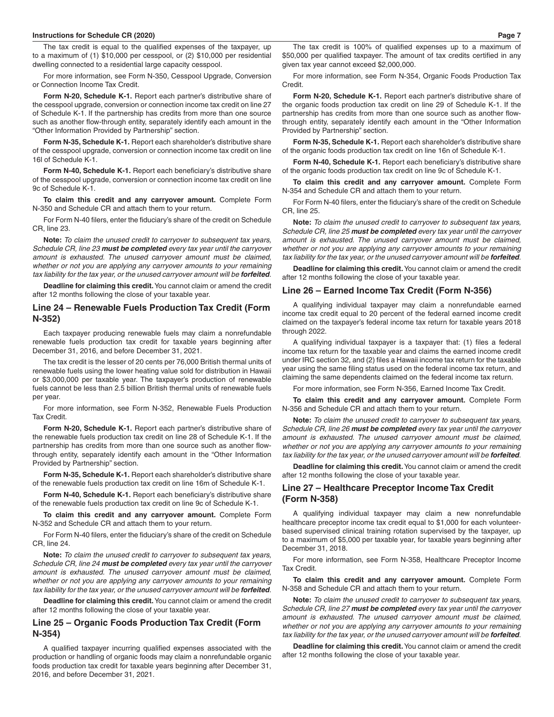#### **Instructions for Schedule CR (2020) Page 7**

The tax credit is equal to the qualified expenses of the taxpayer, up to a maximum of (1) \$10,000 per cesspool, or (2) \$10,000 per residential dwelling connected to a residential large capacity cesspool.

For more information, see Form N-350, Cesspool Upgrade, Conversion or Connection Income Tax Credit.

**Form N-20, Schedule K-1.** Report each partner's distributive share of the cesspool upgrade, conversion or connection income tax credit on line 27 of Schedule K-1. If the partnership has credits from more than one source such as another flow-through entity, separately identify each amount in the "Other Information Provided by Partnership" section.

**Form N-35, Schedule K-1.** Report each shareholder's distributive share of the cesspool upgrade, conversion or connection income tax credit on line 16l of Schedule K-1.

**Form N-40, Schedule K-1.** Report each beneficiary's distributive share of the cesspool upgrade, conversion or connection income tax credit on line 9c of Schedule K-1.

**To claim this credit and any carryover amount.** Complete Form N-350 and Schedule CR and attach them to your return.

For Form N-40 filers, enter the fiduciary's share of the credit on Schedule CR, line 23.

**Note:** *To claim the unused credit to carryover to subsequent tax years, Schedule CR, line 23 must be completed every tax year until the carryover amount is exhausted. The unused carryover amount must be claimed, whether or not you are applying any carryover amounts to your remaining tax liability for the tax year, or the unused carryover amount will be forfeited.*

**Deadline for claiming this credit.** You cannot claim or amend the credit after 12 months following the close of your taxable year.

### **Line 24 – Renewable Fuels Production Tax Credit (Form N-352)**

Each taxpayer producing renewable fuels may claim a nonrefundable renewable fuels production tax credit for taxable years beginning after December 31, 2016, and before December 31, 2021.

The tax credit is the lesser of 20 cents per 76,000 British thermal units of renewable fuels using the lower heating value sold for distribution in Hawaii or \$3,000,000 per taxable year. The taxpayer's production of renewable fuels cannot be less than 2.5 billion British thermal units of renewable fuels per year.

For more information, see Form N-352, Renewable Fuels Production Tax Credit.

**Form N-20, Schedule K-1.** Report each partner's distributive share of the renewable fuels production tax credit on line 28 of Schedule K-1. If the partnership has credits from more than one source such as another flowthrough entity, separately identify each amount in the "Other Information Provided by Partnership" section.

**Form N-35, Schedule K-1.** Report each shareholder's distributive share of the renewable fuels production tax credit on line 16m of Schedule K-1.

**Form N-40, Schedule K-1.** Report each beneficiary's distributive share of the renewable fuels production tax credit on line 9c of Schedule K-1.

**To claim this credit and any carryover amount.** Complete Form N-352 and Schedule CR and attach them to your return.

For Form N-40 filers, enter the fiduciary's share of the credit on Schedule CR, line 24.

**Note:** *To claim the unused credit to carryover to subsequent tax years, Schedule CR, line 24 must be completed every tax year until the carryover amount is exhausted. The unused carryover amount must be claimed, whether or not you are applying any carryover amounts to your remaining tax liability for the tax year, or the unused carryover amount will be forfeited.*

**Deadline for claiming this credit.** You cannot claim or amend the credit after 12 months following the close of your taxable year.

## **Line 25 – Organic Foods Production Tax Credit (Form N-354)**

A qualified taxpayer incurring qualified expenses associated with the production or handling of organic foods may claim a nonrefundable organic foods production tax credit for taxable years beginning after December 31, 2016, and before December 31, 2021.

The tax credit is 100% of qualified expenses up to a maximum of \$50,000 per qualified taxpayer. The amount of tax credits certified in any given tax year cannot exceed \$2,000,000.

For more information, see Form N-354, Organic Foods Production Tax Credit.

**Form N-20, Schedule K-1.** Report each partner's distributive share of the organic foods production tax credit on line 29 of Schedule K-1. If the partnership has credits from more than one source such as another flowthrough entity, separately identify each amount in the "Other Information Provided by Partnership" section.

**Form N-35, Schedule K-1.** Report each shareholder's distributive share of the organic foods production tax credit on line 16n of Schedule K-1.

**Form N-40, Schedule K-1.** Report each beneficiary's distributive share of the organic foods production tax credit on line 9c of Schedule K-1.

**To claim this credit and any carryover amount.** Complete Form N-354 and Schedule CR and attach them to your return.

For Form N-40 filers, enter the fiduciary's share of the credit on Schedule CR, line 25.

**Note:** *To claim the unused credit to carryover to subsequent tax years, Schedule CR, line 25 must be completed every tax year until the carryover amount is exhausted. The unused carryover amount must be claimed, whether or not you are applying any carryover amounts to your remaining tax liability for the tax year, or the unused carryover amount will be forfeited.*

**Deadline for claiming this credit.** You cannot claim or amend the credit after 12 months following the close of your taxable year.

### **Line 26 – Earned Income Tax Credit (Form N-356)**

A qualifying individual taxpayer may claim a nonrefundable earned income tax credit equal to 20 percent of the federal earned income credit claimed on the taxpayer's federal income tax return for taxable years 2018 through 2022.

A qualifying individual taxpayer is a taxpayer that: (1) files a federal income tax return for the taxable year and claims the earned income credit under IRC section 32, and (2) files a Hawaii income tax return for the taxable year using the same filing status used on the federal income tax return, and claiming the same dependents claimed on the federal income tax return.

For more information, see Form N-356, Earned Income Tax Credit.

**To claim this credit and any carryover amount.** Complete Form N-356 and Schedule CR and attach them to your return.

**Note:** *To claim the unused credit to carryover to subsequent tax years, Schedule CR, line 26 must be completed every tax year until the carryover amount is exhausted. The unused carryover amount must be claimed, whether or not you are applying any carryover amounts to your remaining tax liability for the tax year, or the unused carryover amount will be forfeited.*

**Deadline for claiming this credit.** You cannot claim or amend the credit after 12 months following the close of your taxable year.

## **Line 27 – Healthcare Preceptor Income Tax Credit (Form N-358)**

A qualifying individual taxpayer may claim a new nonrefundable healthcare preceptor income tax credit equal to \$1,000 for each volunteerbased supervised clinical training rotation supervised by the taxpayer, up to a maximum of \$5,000 per taxable year, for taxable years beginning after December 31, 2018.

For more information, see Form N-358, Healthcare Preceptor Income Tax Credit.

**To claim this credit and any carryover amount.** Complete Form N-358 and Schedule CR and attach them to your return.

**Note:** *To claim the unused credit to carryover to subsequent tax years, Schedule CR, line 27 must be completed every tax year until the carryover amount is exhausted. The unused carryover amount must be claimed, whether or not you are applying any carryover amounts to your remaining tax liability for the tax year, or the unused carryover amount will be forfeited.*

**Deadline for claiming this credit.** You cannot claim or amend the credit after 12 months following the close of your taxable year.